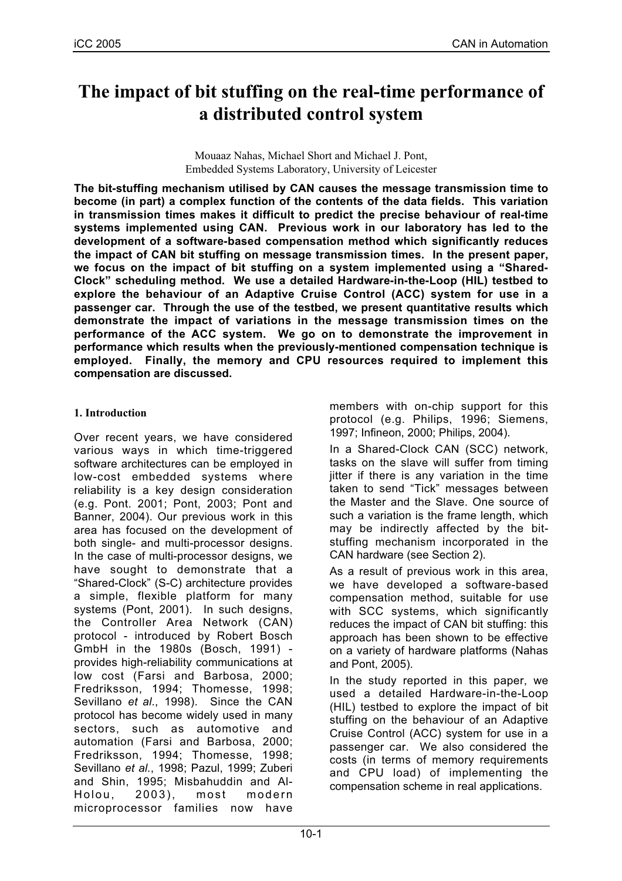# **The impact of bit stuffing on the real-time performance of a distributed control system**

Mouaaz Nahas, Michael Short and Michael J. Pont, Embedded Systems Laboratory, University of Leicester

**The bit-stuffing mechanism utilised by CAN causes the message transmission time to become (in part) a complex function of the contents of the data fields. This variation in transmission times makes it difficult to predict the precise behaviour of real-time systems implemented using CAN. Previous work in our laboratory has led to the development of a software-based compensation method which significantly reduces the impact of CAN bit stuffing on message transmission times. In the present paper, we focus on the impact of bit stuffing on a system implemented using a "Shared-Clock" scheduling method. We use a detailed Hardware-in-the-Loop (HIL) testbed to explore the behaviour of an Adaptive Cruise Control (ACC) system for use in a passenger car. Through the use of the testbed, we present quantitative results which demonstrate the impact of variations in the message transmission times on the performance of the ACC system. We go on to demonstrate the improvement in performance which results when the previously-mentioned compensation technique is employed. Finally, the memory and CPU resources required to implement this compensation are discussed.**

## **1. Introduction**

Over recent years, we have considered various ways in which time-triggered software architectures can be employed in low-cost embedded systems where reliability is a key design consideration (e.g. Pont. 2001; Pont, 2003; Pont and Banner, 2004). Our previous work in this area has focused on the development of both single- and multi-processor designs. In the case of multi-processor designs, we have sought to demonstrate that a "Shared-Clock" (S-C) architecture provides a simple, flexible platform for many systems (Pont, 2001). In such designs, the Controller Area Network (CAN) protocol - introduced by Robert Bosch GmbH in the 1980s (Bosch, 1991) provides high-reliability communications at low cost (Farsi and Barbosa, 2000; Fredriksson, 1994; Thomesse, 1998; Sevillano *et al.*, 1998). Since the CAN protocol has become widely used in many sectors, such as automotive and automation (Farsi and Barbosa, 2000; Fredriksson, 1994; Thomesse, 1998; Sevillano *et al.*, 1998; Pazul, 1999; Zuberi and Shin, 1995; Misbahuddin and Al-Holou, 2003), most modern microprocessor families now have

members with on-chip support for this protocol (e.g. Philips, 1996; Siemens, 1997; Infineon, 2000; Philips, 2004).

In a Shared-Clock CAN (SCC) network, tasks on the slave will suffer from timing iitter if there is any variation in the time taken to send "Tick" messages between the Master and the Slave. One source of such a variation is the frame length, which may be indirectly affected by the bitstuffing mechanism incorporated in the CAN hardware (see Section 2).

As a result of previous work in this area, we have developed a software-based compensation method, suitable for use with SCC systems, which significantly reduces the impact of CAN bit stuffing: this approach has been shown to be effective on a variety of hardware platforms (Nahas and Pont, 2005).

In the study reported in this paper, we used a detailed Hardware-in-the-Loop (HIL) testbed to explore the impact of bit stuffing on the behaviour of an Adaptive Cruise Control (ACC) system for use in a passenger car. We also considered the costs (in terms of memory requirements and CPU load) of implementing the compensation scheme in real applications.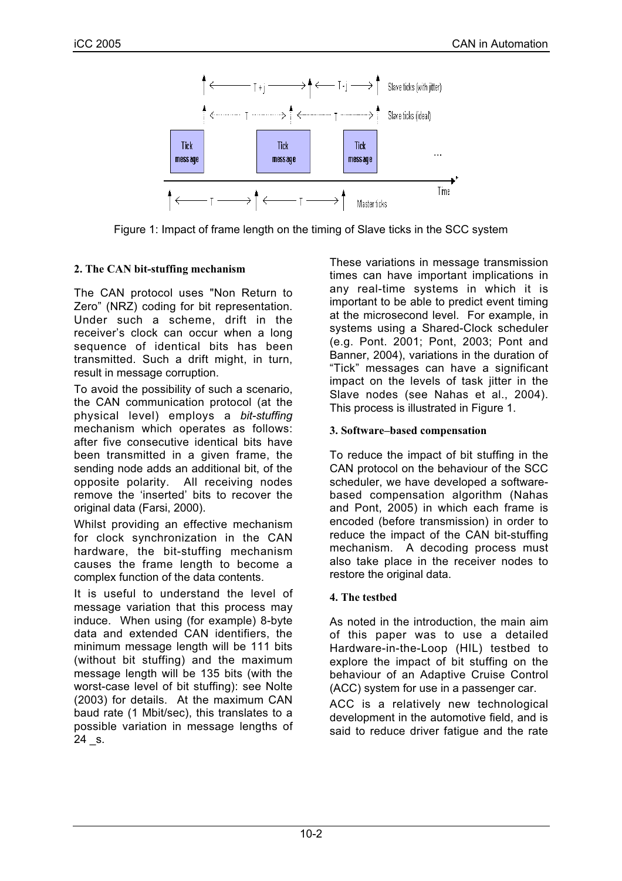

Figure 1: Impact of frame length on the timing of Slave ticks in the SCC system

## **2. The CAN bit-stuffing mechanism**

The CAN protocol uses "Non Return to Zero" (NRZ) coding for bit representation. Under such a scheme, drift in the receiver's clock can occur when a long sequence of identical bits has been transmitted. Such a drift might, in turn, result in message corruption.

To avoid the possibility of such a scenario, the CAN communication protocol (at the physical level) employs a *bit-stuffing* mechanism which operates as follows: after five consecutive identical bits have been transmitted in a given frame, the sending node adds an additional bit, of the opposite polarity. All receiving nodes remove the 'inserted' bits to recover the original data (Farsi, 2000).

Whilst providing an effective mechanism for clock synchronization in the CAN hardware, the bit-stuffing mechanism causes the frame length to become a complex function of the data contents.

It is useful to understand the level of message variation that this process may induce. When using (for example) 8-byte data and extended CAN identifiers, the minimum message length will be 111 bits (without bit stuffing) and the maximum message length will be 135 bits (with the worst-case level of bit stuffing): see Nolte (2003) for details. At the maximum CAN baud rate (1 Mbit/sec), this translates to a possible variation in message lengths of 24 \_s.

These variations in message transmission times can have important implications in any real-time systems in which it is important to be able to predict event timing at the microsecond level. For example, in systems using a Shared-Clock scheduler (e.g. Pont. 2001; Pont, 2003; Pont and Banner, 2004), variations in the duration of "Tick" messages can have a significant impact on the levels of task jitter in the Slave nodes (see Nahas et al., 2004). This process is illustrated in Figure 1.

## **3. Software–based compensation**

To reduce the impact of bit stuffing in the CAN protocol on the behaviour of the SCC scheduler, we have developed a softwarebased compensation algorithm (Nahas and Pont, 2005) in which each frame is encoded (before transmission) in order to reduce the impact of the CAN bit-stuffing mechanism. A decoding process must also take place in the receiver nodes to restore the original data.

## **4. The testbed**

As noted in the introduction, the main aim of this paper was to use a detailed Hardware-in-the-Loop (HIL) testbed to explore the impact of bit stuffing on the behaviour of an Adaptive Cruise Control (ACC) system for use in a passenger car.

ACC is a relatively new technological development in the automotive field, and is said to reduce driver fatigue and the rate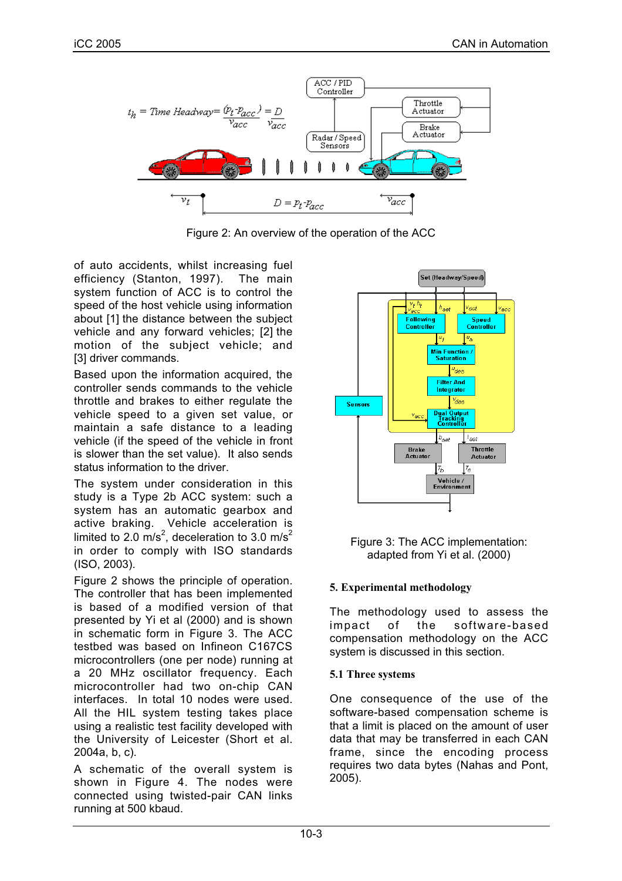

Figure 2: An overview of the operation of the ACC

of auto accidents, whilst increasing fuel efficiency (Stanton, 1997). The main system function of ACC is to control the speed of the host vehicle using information about [1] the distance between the subject vehicle and any forward vehicles; [2] the motion of the subject vehicle; and [3] driver commands.

Based upon the information acquired, the controller sends commands to the vehicle throttle and brakes to either regulate the vehicle speed to a given set value, or maintain a safe distance to a leading vehicle (if the speed of the vehicle in front is slower than the set value). It also sends status information to the driver.

The system under consideration in this study is a Type 2b ACC system: such a system has an automatic gearbox and active braking. Vehicle acceleration is limited to 2.0 m/s<sup>2</sup>, deceleration to 3.0 m/s<sup>2</sup> in order to comply with ISO standards (ISO, 2003).

Figure 2 shows the principle of operation. The controller that has been implemented is based of a modified version of that presented by Yi et al (2000) and is shown in schematic form in Figure 3. The ACC testbed was based on Infineon C167CS microcontrollers (one per node) running at a 20 MHz oscillator frequency. Each microcontroller had two on-chip CAN interfaces. In total 10 nodes were used. All the HIL system testing takes place using a realistic test facility developed with the University of Leicester (Short et al. 2004a, b, c).

A schematic of the overall system is shown in Figure 4. The nodes were connected using twisted-pair CAN links running at 500 kbaud.



Figure 3: The ACC implementation: adapted from Yi et al. (2000)

## **5. Experimental methodology**

The methodology used to assess the impact of the software-based compensation methodology on the ACC system is discussed in this section.

## **5.1 Three systems**

One consequence of the use of the software-based compensation scheme is that a limit is placed on the amount of user data that may be transferred in each CAN frame, since the encoding process requires two data bytes (Nahas and Pont, 2005).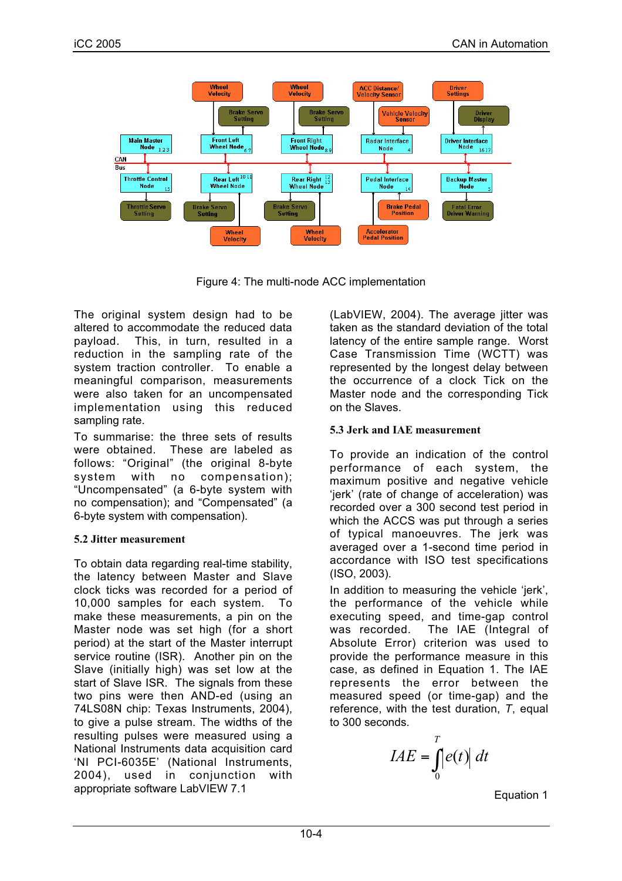

Figure 4: The multi-node ACC implementation

The original system design had to be altered to accommodate the reduced data payload. This, in turn, resulted in a reduction in the sampling rate of the system traction controller. To enable a meaningful comparison, measurements were also taken for an uncompensated implementation using this reduced sampling rate.

To summarise: the three sets of results were obtained. These are labeled as follows: "Original" (the original 8-byte system with no compensation); "Uncompensated" (a 6-byte system with no compensation); and "Compensated" (a 6-byte system with compensation).

# **5.2 Jitter measurement**

To obtain data regarding real-time stability, the latency between Master and Slave clock ticks was recorded for a period of 10,000 samples for each system. To make these measurements, a pin on the Master node was set high (for a short period) at the start of the Master interrupt service routine (ISR). Another pin on the Slave (initially high) was set low at the start of Slave ISR. The signals from these two pins were then AND-ed (using an 74LS08N chip: Texas Instruments, 2004), to give a pulse stream. The widths of the resulting pulses were measured using a National Instruments data acquisition card 'NI PCI-6035E' (National Instruments, 2004), used in conjunction with appropriate software LabVIEW 7.1

(LabVIEW, 2004). The average jitter was taken as the standard deviation of the total latency of the entire sample range. Worst Case Transmission Time (WCTT) was represented by the longest delay between the occurrence of a clock Tick on the Master node and the corresponding Tick on the Slaves.

# **5.3 Jerk and IAE measurement**

To provide an indication of the control performance of each system, the maximum positive and negative vehicle 'jerk' (rate of change of acceleration) was recorded over a 300 second test period in which the ACCS was put through a series of typical manoeuvres. The jerk was averaged over a 1-second time period in accordance with ISO test specifications (ISO, 2003).

In addition to measuring the vehicle 'jerk', the performance of the vehicle while executing speed, and time-gap control was recorded. The IAE (Integral of Absolute Error) criterion was used to provide the performance measure in this case, as defined in Equation 1. The IAE represents the error between the measured speed (or time-gap) and the reference, with the test duration, *T*, equal to 300 seconds.

$$
IAE = \int_{0}^{T} |e(t)| dt
$$

Equation 1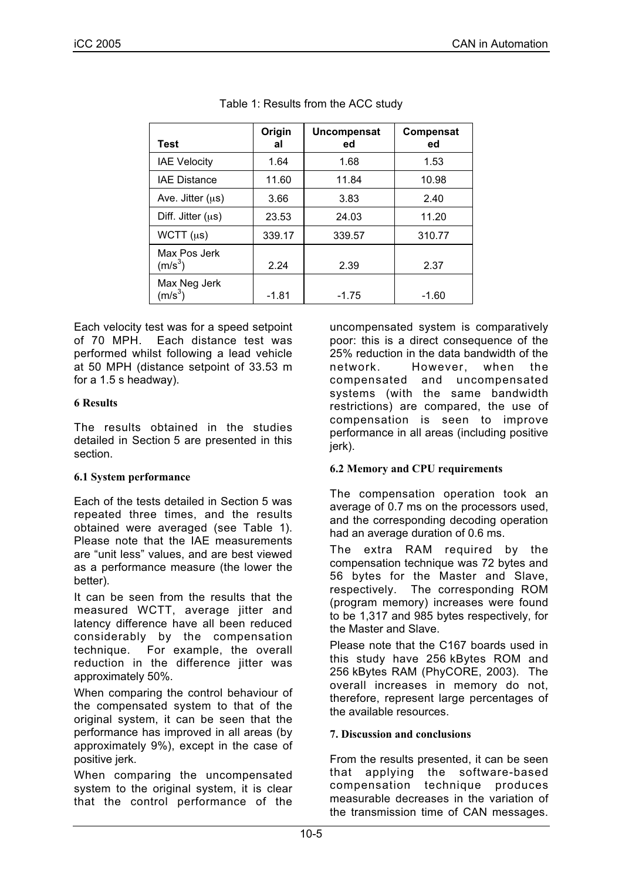| <b>Test</b>               | Origin<br>al | Uncompensat<br>ed | Compensat<br>ed |
|---------------------------|--------------|-------------------|-----------------|
| <b>IAE Velocity</b>       | 1.64         | 1.68              | 1.53            |
| <b>IAE Distance</b>       | 11.60        | 11.84             | 10.98           |
| Ave. Jitter $(\mu s)$     | 3.66         | 3.83              | 2.40            |
| Diff. Jitter $(\mu s)$    | 23.53        | 24.03             | 11.20           |
| WCTT $(\mu s)$            | 339.17       | 339.57            | 310.77          |
| Max Pos Jerk<br>$(m/s^3)$ | 2.24         | 2.39              | 2.37            |
| Max Neg Jerk<br>$(m/s^3)$ | $-1.81$      | $-1.75$           | -1.60           |

Table 1: Results from the ACC study

Each velocity test was for a speed setpoint of 70 MPH. Each distance test was performed whilst following a lead vehicle at 50 MPH (distance setpoint of 33.53 m for a 1.5 s headway).

## **6 Results**

The results obtained in the studies detailed in Section 5 are presented in this section.

# **6.1 System performance**

Each of the tests detailed in Section 5 was repeated three times, and the results obtained were averaged (see Table 1). Please note that the IAE measurements are "unit less" values, and are best viewed as a performance measure (the lower the better).

It can be seen from the results that the measured WCTT, average jitter and latency difference have all been reduced considerably by the compensation technique. For example, the overall reduction in the difference jitter was approximately 50%.

When comparing the control behaviour of the compensated system to that of the original system, it can be seen that the performance has improved in all areas (by approximately 9%), except in the case of positive jerk.

When comparing the uncompensated system to the original system, it is clear that the control performance of the uncompensated system is comparatively poor: this is a direct consequence of the 25% reduction in the data bandwidth of the network. However, when compensated and uncompensated systems (with the same bandwidth restrictions) are compared, the use of compensation is seen to improve performance in all areas (including positive jerk).

# **6.2 Memory and CPU requirements**

The compensation operation took an average of 0.7 ms on the processors used, and the corresponding decoding operation had an average duration of 0.6 ms.

The extra RAM required by the compensation technique was 72 bytes and 56 bytes for the Master and Slave, respectively. The corresponding ROM (program memory) increases were found to be 1,317 and 985 bytes respectively, for the Master and Slave.

Please note that the C167 boards used in this study have 256 kBytes ROM and 256 kBytes RAM (PhyCORE, 2003). The overall increases in memory do not, therefore, represent large percentages of the available resources.

# **7. Discussion and conclusions**

From the results presented, it can be seen that applying the software-based compensation technique produces measurable decreases in the variation of the transmission time of CAN messages.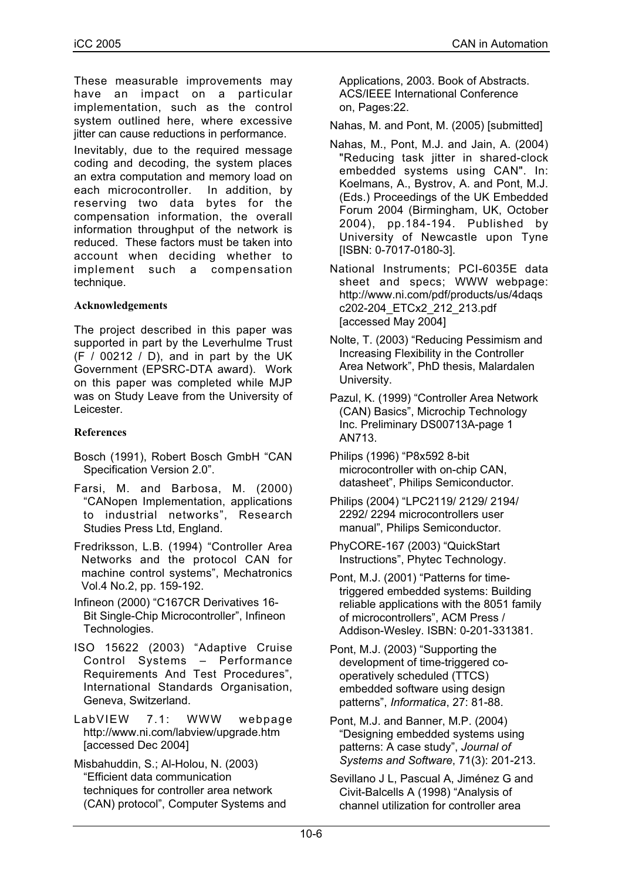These measurable improvements may have an impact on a particular implementation, such as the control system outlined here, where excessive iitter can cause reductions in performance.

Inevitably, due to the required message coding and decoding, the system places an extra computation and memory load on each microcontroller. In addition, by reserving two data bytes for the compensation information, the overall information throughput of the network is reduced. These factors must be taken into account when deciding whether to implement such a compensation technique.

#### **Acknowledgements**

The project described in this paper was supported in part by the Leverhulme Trust  $(F / 00212 / D)$ , and in part by the UK Government (EPSRC-DTA award). Work on this paper was completed while MJP was on Study Leave from the University of Leicester.

#### **References**

- Bosch (1991), Robert Bosch GmbH "CAN Specification Version 2.0".
- Farsi, M. and Barbosa, M. (2000) "CANopen Implementation, applications to industrial networks", Research Studies Press Ltd, England.
- Fredriksson, L.B. (1994) "Controller Area Networks and the protocol CAN for machine control systems", Mechatronics Vol.4 No.2, pp. 159-192.
- Infineon (2000) "C167CR Derivatives 16- Bit Single-Chip Microcontroller", Infineon Technologies.
- ISO 15622 (2003) "Adaptive Cruise Control Systems – Performance Requirements And Test Procedures", International Standards Organisation, Geneva, Switzerland.

LabVIEW 7.1: WWW webpage http://www.ni.com/labview/upgrade.htm [accessed Dec 2004]

Misbahuddin, S.; Al-Holou, N. (2003) "Efficient data communication techniques for controller area network (CAN) protocol", Computer Systems and Applications, 2003. Book of Abstracts. ACS/IEEE International Conference on, Pages:22.

Nahas, M. and Pont, M. (2005) [submitted]

- Nahas, M., Pont, M.J. and Jain, A. (2004) "Reducing task jitter in shared-clock embedded systems using CAN". In: Koelmans, A., Bystrov, A. and Pont, M.J. (Eds.) Proceedings of the UK Embedded Forum 2004 (Birmingham, UK, October 2004), pp.184-194. Published by University of Newcastle upon Tyne [ISBN: 0-7017-0180-3].
- National Instruments; PCI-6035E data sheet and specs; WWW webpage: http://www.ni.com/pdf/products/us/4daqs c202-204\_ETCx2\_212\_213.pdf [accessed May 2004]
- Nolte, T. (2003) "Reducing Pessimism and Increasing Flexibility in the Controller Area Network", PhD thesis, Malardalen University.
- Pazul, K. (1999) "Controller Area Network (CAN) Basics", Microchip Technology Inc. Preliminary DS00713A-page 1 AN713.
- Philips (1996) "P8x592 8-bit microcontroller with on-chip CAN, datasheet", Philips Semiconductor.
- Philips (2004) "LPC2119/ 2129/ 2194/ 2292/ 2294 microcontrollers user manual", Philips Semiconductor.
- PhyCORE-167 (2003) "QuickStart Instructions", Phytec Technology.
- Pont, M.J. (2001) "Patterns for timetriggered embedded systems: Building reliable applications with the 8051 family of microcontrollers", ACM Press / Addison-Wesley. ISBN: 0-201-331381.
- Pont, M.J. (2003) "Supporting the development of time-triggered cooperatively scheduled (TTCS) embedded software using design patterns", *Informatica*, 27: 81-88.
- Pont, M.J. and Banner, M.P. (2004) "Designing embedded systems using patterns: A case study", *Journal of Systems and Software*, 71(3): 201-213.

Sevillano J L, Pascual A, Jiménez G and Civit-Balcells A (1998) "Analysis of channel utilization for controller area